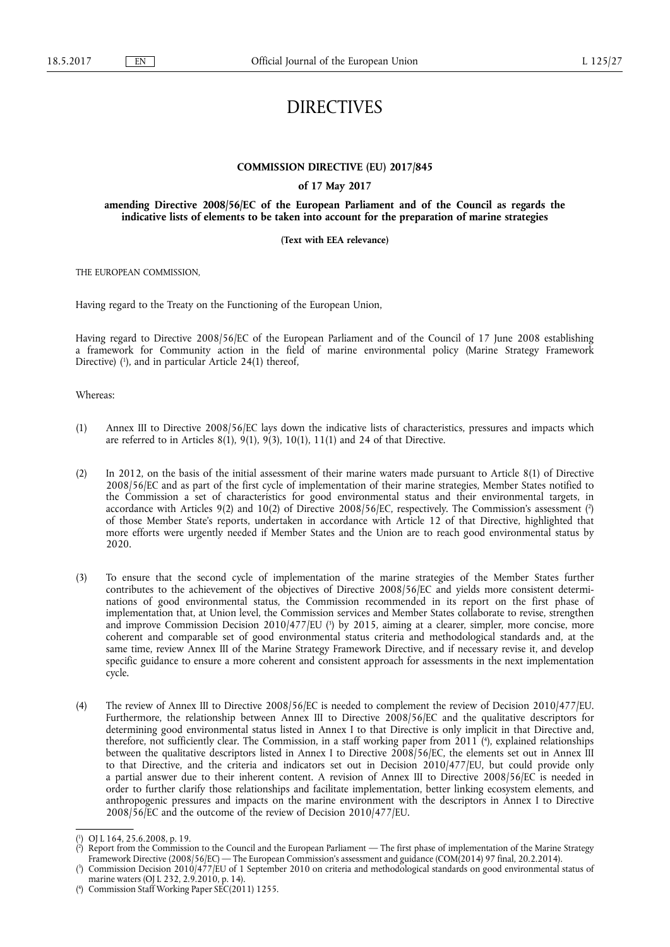# DIRECTIVES

#### **COMMISSION DIRECTIVE (EU) 2017/845**

#### **of 17 May 2017**

#### **amending Directive 2008/56/EC of the European Parliament and of the Council as regards the indicative lists of elements to be taken into account for the preparation of marine strategies**

#### **(Text with EEA relevance)**

THE EUROPEAN COMMISSION,

Having regard to the Treaty on the Functioning of the European Union,

Having regard to Directive 2008/56/EC of the European Parliament and of the Council of 17 June 2008 establishing a framework for Community action in the field of marine environmental policy (Marine Strategy Framework Directive) (<sup>1</sup>), and in particular Article 24(1) thereof,

#### Whereas:

- (1) Annex III to Directive 2008/56/EC lays down the indicative lists of characteristics, pressures and impacts which are referred to in Articles 8(1), 9(1), 9(3), 10(1), 11(1) and 24 of that Directive.
- (2) In 2012, on the basis of the initial assessment of their marine waters made pursuant to Article 8(1) of Directive 2008/56/EC and as part of the first cycle of implementation of their marine strategies, Member States notified to the Commission a set of characteristics for good environmental status and their environmental targets, in accordance with Articles 9(2) and 10(2) of Directive 2008/56/EC, respectively. The Commission's assessment ( 2 ) of those Member State's reports, undertaken in accordance with Article 12 of that Directive, highlighted that more efforts were urgently needed if Member States and the Union are to reach good environmental status by 2020.
- (3) To ensure that the second cycle of implementation of the marine strategies of the Member States further contributes to the achievement of the objectives of Directive 2008/56/EC and yields more consistent determinations of good environmental status, the Commission recommended in its report on the first phase of implementation that, at Union level, the Commission services and Member States collaborate to revise, strengthen and improve Commission Decision 2010/477/EU (<sup>3</sup>) by 2015, aiming at a clearer, simpler, more concise, more coherent and comparable set of good environmental status criteria and methodological standards and, at the same time, review Annex III of the Marine Strategy Framework Directive, and if necessary revise it, and develop specific guidance to ensure a more coherent and consistent approach for assessments in the next implementation cycle.
- (4) The review of Annex III to Directive 2008/56/EC is needed to complement the review of Decision 2010/477/EU. Furthermore, the relationship between Annex III to Directive 2008/56/EC and the qualitative descriptors for determining good environmental status listed in Annex I to that Directive is only implicit in that Directive and, therefore, not sufficiently clear. The Commission, in a staff working paper from 2011 ( 4 ), explained relationships between the qualitative descriptors listed in Annex I to Directive 2008/56/EC, the elements set out in Annex III to that Directive, and the criteria and indicators set out in Decision 2010/477/EU, but could provide only a partial answer due to their inherent content. A revision of Annex III to Directive 2008/56/EC is needed in order to further clarify those relationships and facilitate implementation, better linking ecosystem elements, and anthropogenic pressures and impacts on the marine environment with the descriptors in Annex I to Directive 2008/56/EC and the outcome of the review of Decision 2010/477/EU.

<sup>(</sup> 1 ) OJ L 164, 25.6.2008, p. 19.

<sup>(</sup> 2 ) Report from the Commission to the Council and the European Parliament — The first phase of implementation of the Marine Strategy Framework Directive (2008/56/EC) — The European Commission's assessment and guidance (COM(2014) 97 final, 20.2.2014).

<sup>(</sup> 3 ) Commission Decision 2010/477/EU of 1 September 2010 on criteria and methodological standards on good environmental status of marine waters (OJ L 232, 2.9.2010, p. 14).

<sup>(</sup> 4 ) Commission Staff Working Paper SEC(2011) 1255.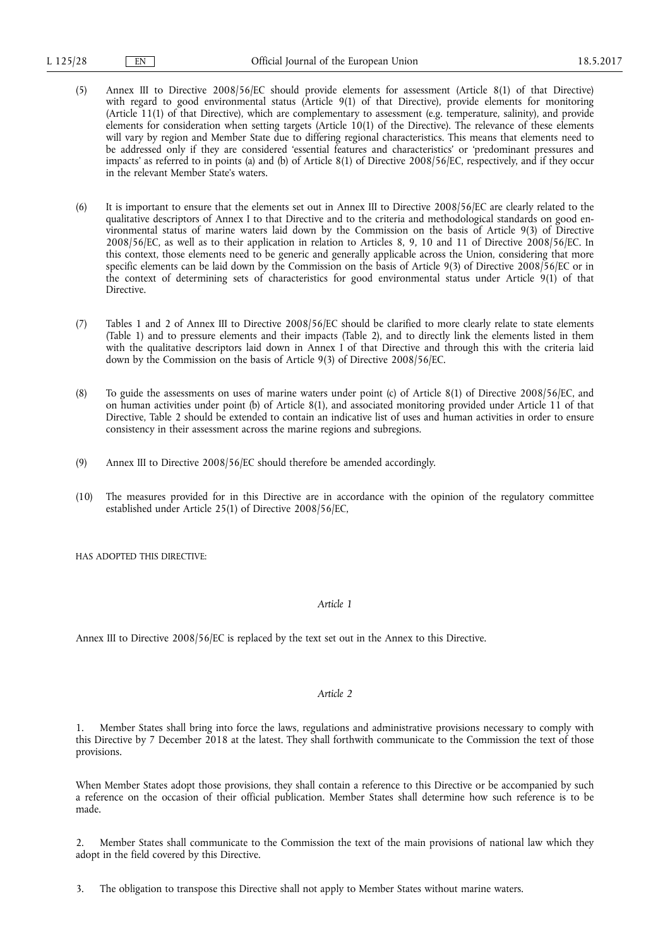- (5) Annex III to Directive 2008/56/EC should provide elements for assessment (Article 8(1) of that Directive) with regard to good environmental status (Article 9(1) of that Directive), provide elements for monitoring (Article 11(1) of that Directive), which are complementary to assessment (e.g. temperature, salinity), and provide elements for consideration when setting targets (Article 10(1) of the Directive). The relevance of these elements will vary by region and Member State due to differing regional characteristics. This means that elements need to be addressed only if they are considered 'essential features and characteristics' or 'predominant pressures and impacts' as referred to in points (a) and (b) of Article 8(1) of Directive 2008/56/EC, respectively, and if they occur in the relevant Member State's waters.
- (6) It is important to ensure that the elements set out in Annex III to Directive 2008/56/EC are clearly related to the qualitative descriptors of Annex I to that Directive and to the criteria and methodological standards on good environmental status of marine waters laid down by the Commission on the basis of Article 9(3) of Directive 2008/56/EC, as well as to their application in relation to Articles 8, 9, 10 and 11 of Directive 2008/56/EC. In this context, those elements need to be generic and generally applicable across the Union, considering that more specific elements can be laid down by the Commission on the basis of Article 9(3) of Directive 2008/56/EC or in the context of determining sets of characteristics for good environmental status under Article 9(1) of that Directive.
- (7) Tables 1 and 2 of Annex III to Directive 2008/56/EC should be clarified to more clearly relate to state elements (Table 1) and to pressure elements and their impacts (Table 2), and to directly link the elements listed in them with the qualitative descriptors laid down in Annex I of that Directive and through this with the criteria laid down by the Commission on the basis of Article 9(3) of Directive 2008/56/EC.
- (8) To guide the assessments on uses of marine waters under point (c) of Article 8(1) of Directive 2008/56/EC, and on human activities under point (b) of Article 8(1), and associated monitoring provided under Article 11 of that Directive, Table 2 should be extended to contain an indicative list of uses and human activities in order to ensure consistency in their assessment across the marine regions and subregions.
- (9) Annex III to Directive 2008/56/EC should therefore be amended accordingly.
- (10) The measures provided for in this Directive are in accordance with the opinion of the regulatory committee established under Article 25(1) of Directive 2008/56/EC,

HAS ADOPTED THIS DIRECTIVE:

#### *Article 1*

Annex III to Directive 2008/56/EC is replaced by the text set out in the Annex to this Directive.

#### *Article 2*

1. Member States shall bring into force the laws, regulations and administrative provisions necessary to comply with this Directive by 7 December 2018 at the latest. They shall forthwith communicate to the Commission the text of those provisions.

When Member States adopt those provisions, they shall contain a reference to this Directive or be accompanied by such a reference on the occasion of their official publication. Member States shall determine how such reference is to be made.

2. Member States shall communicate to the Commission the text of the main provisions of national law which they adopt in the field covered by this Directive.

3. The obligation to transpose this Directive shall not apply to Member States without marine waters.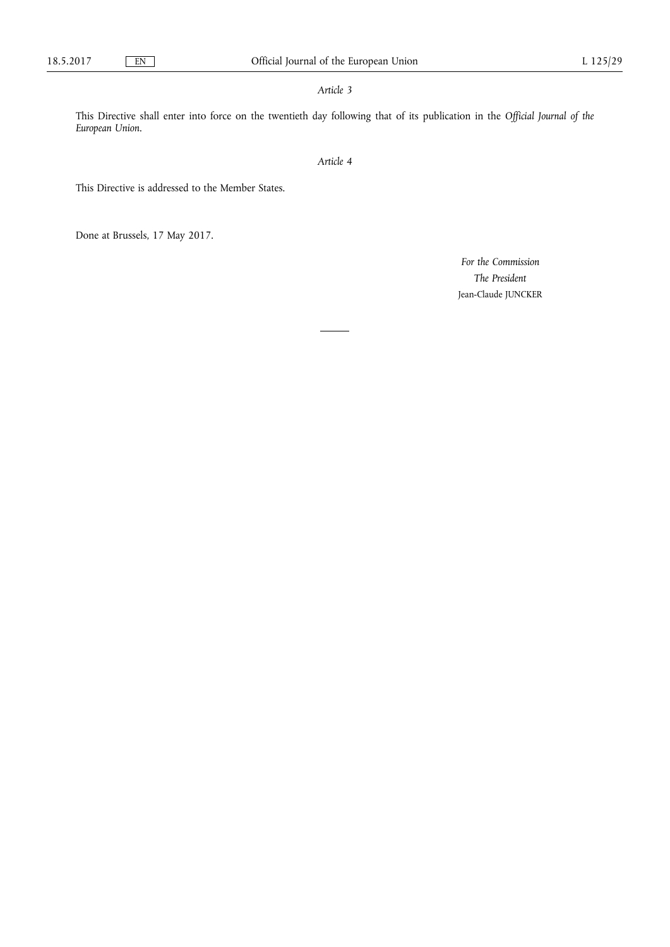## *Article 3*

This Directive shall enter into force on the twentieth day following that of its publication in the *Official Journal of the European Union*.

*Article 4* 

This Directive is addressed to the Member States.

Done at Brussels, 17 May 2017.

*For the Commission The President*  Jean-Claude JUNCKER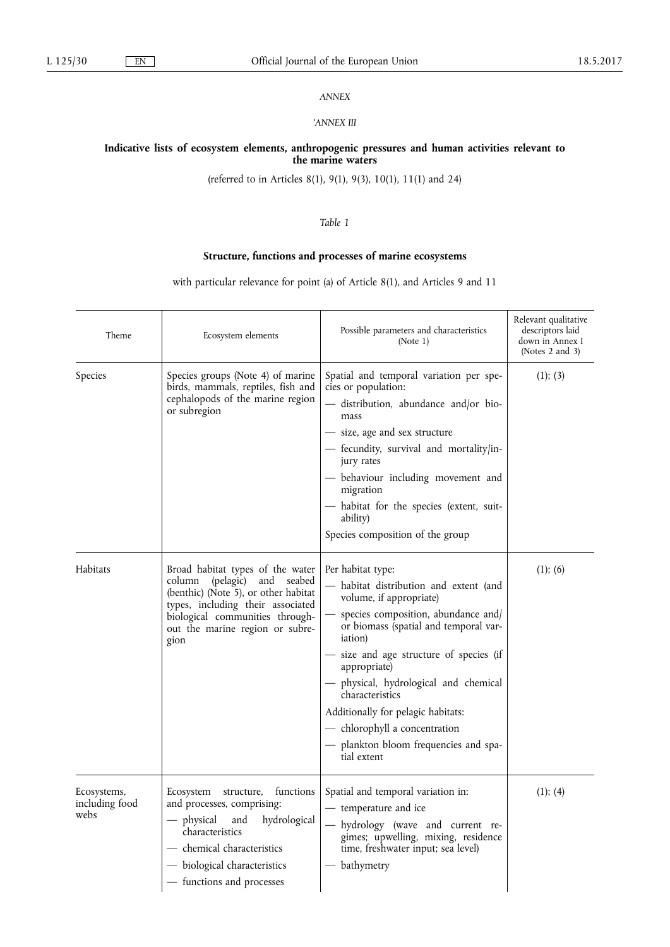## *ANNEX*

#### '*ANNEX III*

#### **Indicative lists of ecosystem elements, anthropogenic pressures and human activities relevant to the marine waters**

(referred to in Articles 8(1), 9(1), 9(3), 10(1), 11(1) and 24)

## *Table 1*

# **Structure, functions and processes of marine ecosystems**

with particular relevance for point (a) of Article 8(1), and Articles 9 and 11

| Theme                                 | Ecosystem elements                                                                                                                                                                                                                  | Possible parameters and characteristics<br>(Note 1)                                                                                                                                                                                                                                                                                                                                                                                             | Relevant qualitative<br>descriptors laid<br>down in Annex I<br>(Notes $2$ and $3$ ) |
|---------------------------------------|-------------------------------------------------------------------------------------------------------------------------------------------------------------------------------------------------------------------------------------|-------------------------------------------------------------------------------------------------------------------------------------------------------------------------------------------------------------------------------------------------------------------------------------------------------------------------------------------------------------------------------------------------------------------------------------------------|-------------------------------------------------------------------------------------|
| <b>Species</b>                        | Species groups (Note 4) of marine<br>birds, mammals, reptiles, fish and<br>cephalopods of the marine region<br>or subregion                                                                                                         | Spatial and temporal variation per spe-<br>cies or population:<br>- distribution, abundance and/or bio-<br>mass<br>- size, age and sex structure<br>- fecundity, survival and mortality/in-<br>jury rates<br>- behaviour including movement and<br>migration<br>- habitat for the species (extent, suit-<br>ability)<br>Species composition of the group                                                                                        | (1); (3)                                                                            |
| Habitats                              | Broad habitat types of the water<br>(pelagic)<br>column<br>and<br>seabed<br>(benthic) (Note 5), or other habitat<br>types, including their associated<br>biological communities through-<br>out the marine region or subre-<br>gion | Per habitat type:<br>- habitat distribution and extent (and<br>volume, if appropriate)<br>species composition, abundance and/<br>or biomass (spatial and temporal var-<br><i>iation</i> )<br>- size and age structure of species (if<br>appropriate)<br>- physical, hydrological and chemical<br>characteristics<br>Additionally for pelagic habitats:<br>- chlorophyll a concentration<br>- plankton bloom frequencies and spa-<br>tial extent | (1); (6)                                                                            |
| Ecosystems,<br>including food<br>webs | Ecosystem structure,<br>functions<br>and processes, comprising:<br>— physical<br>and<br>hydrological<br>characteristics<br>— chemical characteristics<br>- biological characteristics<br>- functions and processes                  | Spatial and temporal variation in:<br>- temperature and ice<br>- hydrology (wave and current re-<br>gimes; upwelling, mixing, residence<br>time, freshwater input; sea level)<br>- bathymetry                                                                                                                                                                                                                                                   | (1); (4)                                                                            |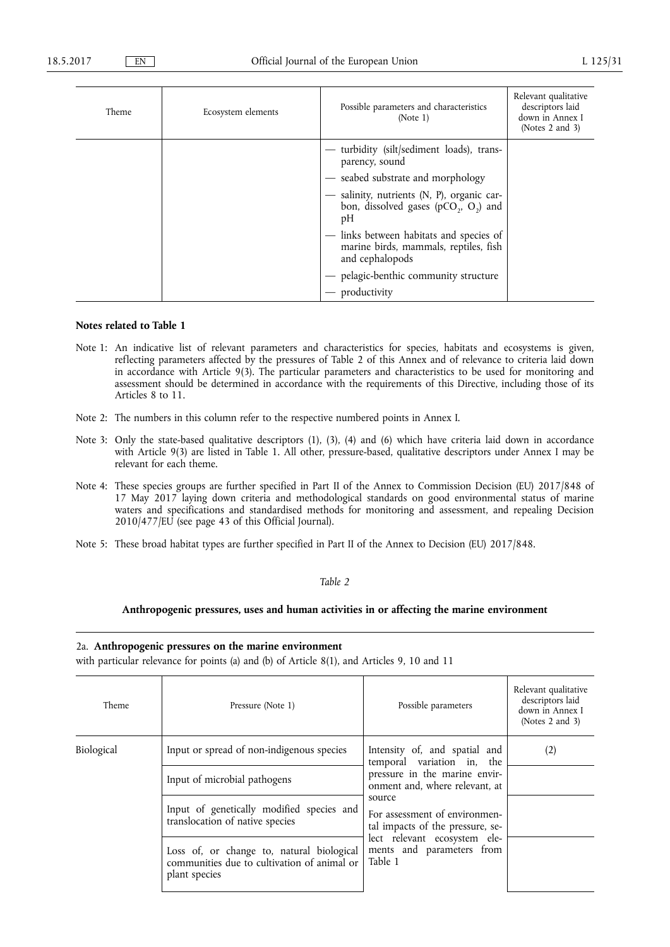| Theme | Ecosystem elements | Possible parameters and characteristics<br>(Note 1)                                                 | Relevant qualitative<br>descriptors laid<br>down in Annex I<br>(Notes $2$ and $3$ ) |
|-------|--------------------|-----------------------------------------------------------------------------------------------------|-------------------------------------------------------------------------------------|
|       |                    | - turbidity (silt/sediment loads), trans-<br>parency, sound<br>- seabed substrate and morphology    |                                                                                     |
|       |                    | salinity, nutrients (N, P), organic car-<br>bon, dissolved gases ( $pCO2$ , $O2$ ) and<br>pH        |                                                                                     |
|       |                    | - links between habitats and species of<br>marine birds, mammals, reptiles, fish<br>and cephalopods |                                                                                     |
|       |                    | pelagic-benthic community structure<br>productivity                                                 |                                                                                     |

## **Notes related to Table 1**

- Note 1: An indicative list of relevant parameters and characteristics for species, habitats and ecosystems is given, reflecting parameters affected by the pressures of Table 2 of this Annex and of relevance to criteria laid down in accordance with Article 9(3). The particular parameters and characteristics to be used for monitoring and assessment should be determined in accordance with the requirements of this Directive, including those of its Articles 8 to 11.
- Note 2: The numbers in this column refer to the respective numbered points in Annex I.
- Note 3: Only the state-based qualitative descriptors (1), (3), (4) and (6) which have criteria laid down in accordance with Article 9(3) are listed in Table 1. All other, pressure-based, qualitative descriptors under Annex I may be relevant for each theme.
- Note 4: These species groups are further specified in Part II of the Annex to Commission Decision (EU) 2017/848 of 17 May 2017 laying down criteria and methodological standards on good environmental status of marine waters and specifications and standardised methods for monitoring and assessment, and repealing Decision 2010/477/EU (see page 43 of this Official Journal).
- Note 5: These broad habitat types are further specified in Part II of the Annex to Decision (EU) 2017/848.

#### *Table 2*

### **Anthropogenic pressures, uses and human activities in or affecting the marine environment**

#### 2a. **Anthropogenic pressures on the marine environment**

with particular relevance for points (a) and (b) of Article 8(1), and Articles 9, 10 and 11

| Theme      | Pressure (Note 1)                                                                                         | Possible parameters                                                                                                                                                                                                                                                                   | Relevant qualitative<br>descriptors laid<br>down in Annex I<br>(Notes 2 and 3) |
|------------|-----------------------------------------------------------------------------------------------------------|---------------------------------------------------------------------------------------------------------------------------------------------------------------------------------------------------------------------------------------------------------------------------------------|--------------------------------------------------------------------------------|
| Biological | Input or spread of non-indigenous species                                                                 | Intensity of, and spatial and<br>temporal variation in, the<br>pressure in the marine envir-<br>onment and, where relevant, at<br>source<br>For assessment of environmen-<br>tal impacts of the pressure, se-<br>lect relevant ecosystem ele-<br>ments and parameters from<br>Table 1 | (2)                                                                            |
|            | Input of microbial pathogens                                                                              |                                                                                                                                                                                                                                                                                       |                                                                                |
|            | Input of genetically modified species and<br>translocation of native species                              |                                                                                                                                                                                                                                                                                       |                                                                                |
|            | Loss of, or change to, natural biological<br>communities due to cultivation of animal or<br>plant species |                                                                                                                                                                                                                                                                                       |                                                                                |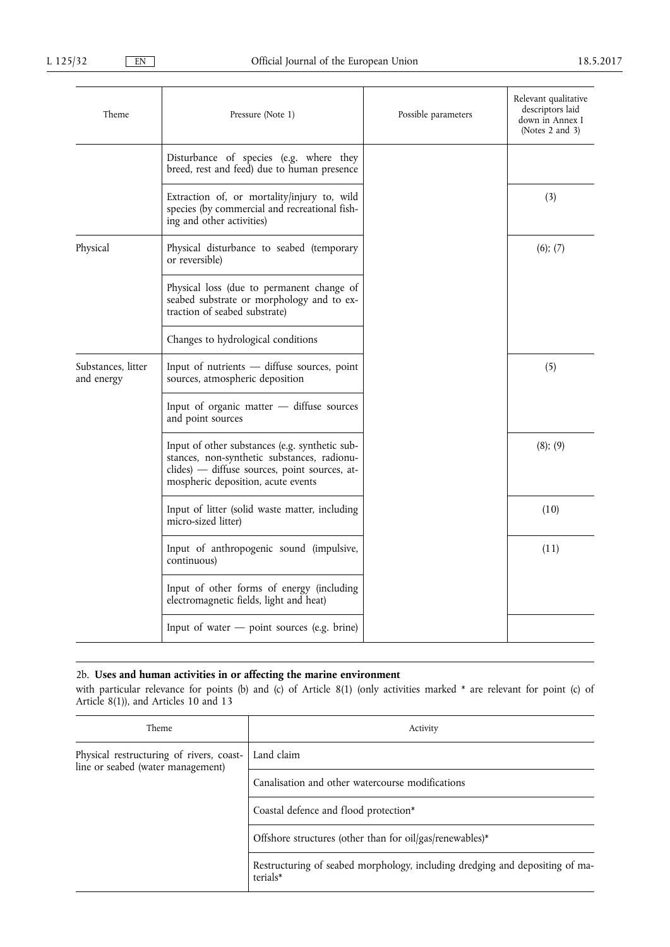| Theme                            | Pressure (Note 1)                                                                                                                                                                    | Possible parameters | Relevant qualitative<br>descriptors laid<br>down in Annex I<br>(Notes $2$ and $3$ ) |
|----------------------------------|--------------------------------------------------------------------------------------------------------------------------------------------------------------------------------------|---------------------|-------------------------------------------------------------------------------------|
|                                  | Disturbance of species (e.g. where they<br>breed, rest and feed) due to human presence                                                                                               |                     |                                                                                     |
|                                  | Extraction of, or mortality/injury to, wild<br>species (by commercial and recreational fish-<br>ing and other activities)                                                            |                     | (3)                                                                                 |
| Physical                         | Physical disturbance to seabed (temporary<br>or reversible)                                                                                                                          |                     | (6); (7)                                                                            |
|                                  | Physical loss (due to permanent change of<br>seabed substrate or morphology and to ex-<br>traction of seabed substrate)                                                              |                     |                                                                                     |
|                                  | Changes to hydrological conditions                                                                                                                                                   |                     |                                                                                     |
| Substances, litter<br>and energy | Input of nutrients $-$ diffuse sources, point<br>sources, atmospheric deposition                                                                                                     |                     | (5)                                                                                 |
|                                  | Input of organic matter $-$ diffuse sources<br>and point sources                                                                                                                     |                     |                                                                                     |
|                                  | Input of other substances (e.g. synthetic sub-<br>stances, non-synthetic substances, radionu-<br>clides) — diffuse sources, point sources, at-<br>mospheric deposition, acute events |                     | (8); (9)                                                                            |
|                                  | Input of litter (solid waste matter, including<br>micro-sized litter)                                                                                                                |                     | (10)                                                                                |
|                                  | Input of anthropogenic sound (impulsive,<br>continuous)                                                                                                                              |                     | (11)                                                                                |
|                                  | Input of other forms of energy (including<br>electromagnetic fields, light and heat)                                                                                                 |                     |                                                                                     |
|                                  | Input of water $-$ point sources (e.g. brine)                                                                                                                                        |                     |                                                                                     |

# 2b. **Uses and human activities in or affecting the marine environment**

with particular relevance for points (b) and (c) of Article 8(1) (only activities marked \* are relevant for point (c) of Article 8(1)), and Articles 10 and 13

| Theme                                                                         | Activity                                                                                 |
|-------------------------------------------------------------------------------|------------------------------------------------------------------------------------------|
| Physical restructuring of rivers, coast-<br>line or seabed (water management) | Land claim                                                                               |
|                                                                               | Canalisation and other watercourse modifications                                         |
|                                                                               | Coastal defence and flood protection*                                                    |
|                                                                               | Offshore structures (other than for oil/gas/renewables)*                                 |
|                                                                               | Restructuring of seabed morphology, including dredging and depositing of ma-<br>terials* |